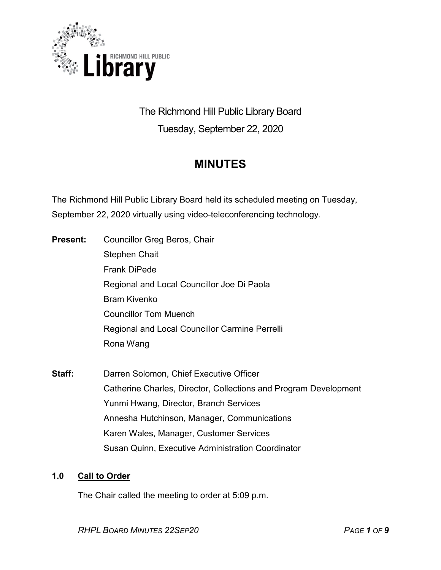

The Richmond Hill Public Library Board Tuesday, September 22, 2020

# **MINUTES**

The Richmond Hill Public Library Board held its scheduled meeting on Tuesday, September 22, 2020 virtually using video-teleconferencing technology.

- **Present:** Councillor Greg Beros, Chair Stephen Chait Frank DiPede Regional and Local Councillor Joe Di Paola Bram Kivenko Councillor Tom Muench Regional and Local Councillor Carmine Perrelli Rona Wang
- **Staff:** Darren Solomon, Chief Executive Officer Catherine Charles, Director, Collections and Program Development Yunmi Hwang, Director, Branch Services Annesha Hutchinson, Manager, Communications Karen Wales, Manager, Customer Services Susan Quinn, Executive Administration Coordinator

### **1.0 Call to Order**

The Chair called the meeting to order at 5:09 p.m.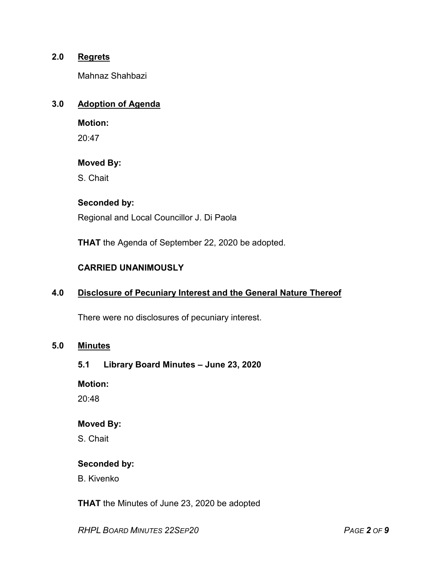### **2.0 Regrets**

Mahnaz Shahbazi

## **3.0 Adoption of Agenda**

**Motion:**

20:47

### **Moved By:**

S. Chait

# **Seconded by:**

Regional and Local Councillor J. Di Paola

**THAT** the Agenda of September 22, 2020 be adopted.

### **CARRIED UNANIMOUSLY**

### **4.0 Disclosure of Pecuniary Interest and the General Nature Thereof**

There were no disclosures of pecuniary interest.

#### **5.0 Minutes**

#### **5.1 Library Board Minutes – June 23, 2020**

**Motion:**

20:48

#### **Moved By:**

S. Chait

#### **Seconded by:**

B. Kivenko

**THAT** the Minutes of June 23, 2020 be adopted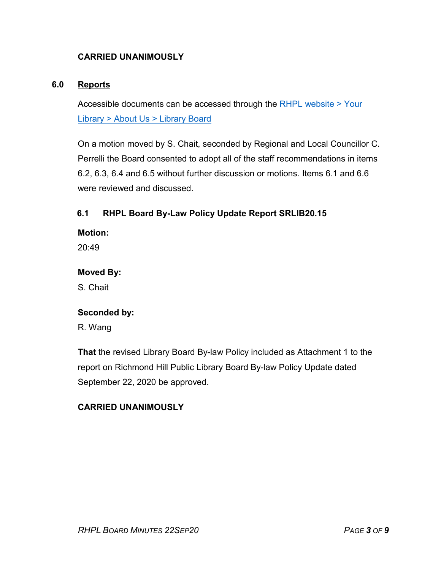# **CARRIED UNANIMOUSLY**

### **6.0 Reports**

Accessible documents can be accessed through the [RHPL website > Your](https://www.rhpl.ca/your-library/about-us/library-board)  Library [> About Us > Library](https://www.rhpl.ca/your-library/about-us/library-board) Board

On a motion moved by S. Chait, seconded by Regional and Local Councillor C. Perrelli the Board consented to adopt all of the staff recommendations in items 6.2, 6.3, 6.4 and 6.5 without further discussion or motions. Items 6.1 and 6.6 were reviewed and discussed.

# **6.1 RHPL Board By-Law Policy Update Report SRLIB20.15**

**Motion:** 

 $20.49$ 

### **Moved By:**

S. Chait

#### **Seconded by:**

R. Wang

**That** the revised Library Board By-law Policy included as Attachment 1 to the report on Richmond Hill Public Library Board By-law Policy Update dated September 22, 2020 be approved.

### **CARRIED UNANIMOUSLY**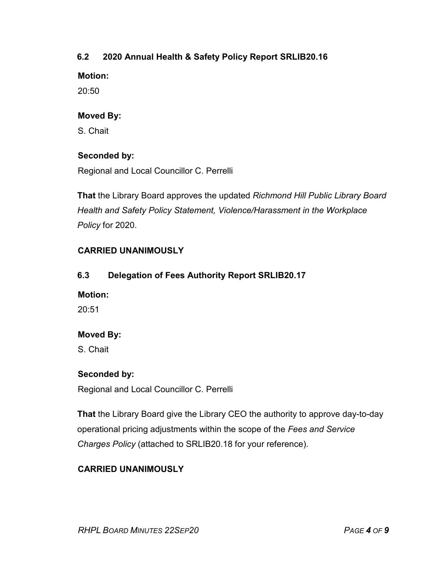# **6.2 2020 Annual Health & Safety Policy Report SRLIB20.16**

**Motion:** 

20:50

## **Moved By:**

S. Chait

# **Seconded by:**

Regional and Local Councillor C. Perrelli

**That** the Library Board approves the updated *Richmond Hill Public Library Board Health and Safety Policy Statement, Violence/Harassment in the Workplace Policy* for 2020.

# **CARRIED UNANIMOUSLY**

# **6.3 Delegation of Fees Authority Report SRLIB20.17**

### **Motion:**

20:51

# **Moved By:**

S. Chait

# **Seconded by:**

Regional and Local Councillor C. Perrelli

**That** the Library Board give the Library CEO the authority to approve day-to-day operational pricing adjustments within the scope of the *Fees and Service Charges Policy* (attached to SRLIB20.18 for your reference).

# **CARRIED UNANIMOUSLY**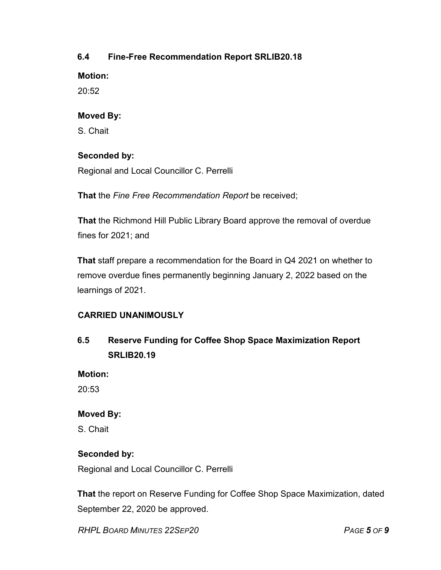# **6.4 Fine-Free Recommendation Report SRLIB20.18**

**Motion:** 

20:52

## **Moved By:**

S. Chait

# **Seconded by:**

Regional and Local Councillor C. Perrelli

**That** the *Fine Free Recommendation Report* be received;

**That** the Richmond Hill Public Library Board approve the removal of overdue fines for 2021; and

**That** staff prepare a recommendation for the Board in Q4 2021 on whether to remove overdue fines permanently beginning January 2, 2022 based on the learnings of 2021.

# **CARRIED UNANIMOUSLY**

**6.5 Reserve Funding for Coffee Shop Space Maximization Report SRLIB20.19**

**Motion:** 

20:53

# **Moved By:**

S. Chait

# **Seconded by:**

Regional and Local Councillor C. Perrelli

**That** the report on Reserve Funding for Coffee Shop Space Maximization, dated September 22, 2020 be approved.

*RHPL BOARD MINUTES 22SEP20 PAGE 5 OF 9*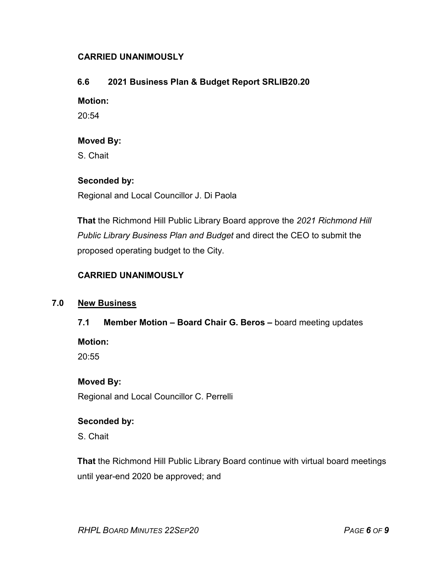### **CARRIED UNANIMOUSLY**

### **6.6 2021 Business Plan & Budget Report SRLIB20.20**

#### **Motion:**

20:54

#### **Moved By:**

S. Chait

### **Seconded by:**

Regional and Local Councillor J. Di Paola

**That** the Richmond Hill Public Library Board approve the *2021 Richmond Hill Public Library Business Plan and Budget* and direct the CEO to submit the proposed operating budget to the City.

### **CARRIED UNANIMOUSLY**

#### **7.0 New Business**

### **7.1 Member Motion – Board Chair G. Beros –** board meeting updates

**Motion:** 

20:55

#### **Moved By:**

Regional and Local Councillor C. Perrelli

#### **Seconded by:**

S. Chait

**That** the Richmond Hill Public Library Board continue with virtual board meetings until year-end 2020 be approved; and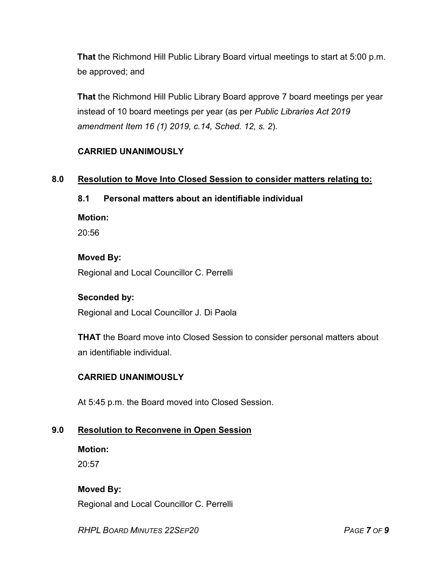**That** the Richmond Hill Public Library Board virtual meetings to start at 5:00 p.m. be approved; and

**That** the Richmond Hill Public Library Board approve 7 board meetings per year instead of 10 board meetings per year (as per *Public Libraries Act 2019 amendment Item 16 (1) 2019, c.14, Sched. 12, s. 2*).

# **CARRIED UNANIMOUSLY**

### **8.0 Resolution to Move Into Closed Session to consider matters relating to:**

### **8.1 Personal matters about an identifiable individual**

#### **Motion:**

20:56

#### **Moved By:**

Regional and Local Councillor C. Perrelli

#### **Seconded by:**

Regional and Local Councillor J. Di Paola

**THAT** the Board move into Closed Session to consider personal matters about an identifiable individual.

### **CARRIED UNANIMOUSLY**

At 5:45 p.m. the Board moved into Closed Session.

### **9.0 Resolution to Reconvene in Open Session**

**Motion:**  $20:57$ 

**Moved By:** Regional and Local Councillor C. Perrelli

*RHPL BOARD MINUTES 22SEP20 PAGE 7 OF 9*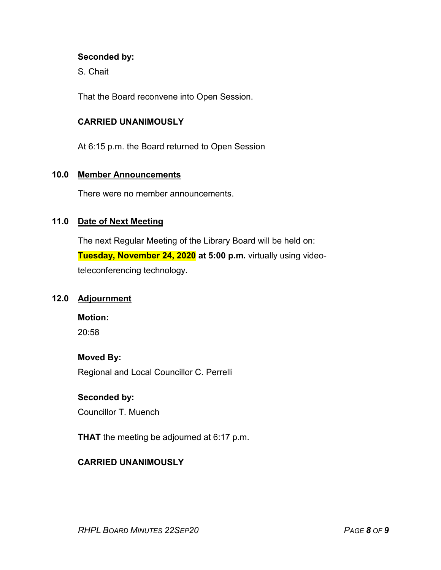#### **Seconded by:**

S. Chait

That the Board reconvene into Open Session.

#### **CARRIED UNANIMOUSLY**

At 6:15 p.m. the Board returned to Open Session

### **10.0 Member Announcements**

There were no member announcements.

### **11.0 Date of Next Meeting**

The next Regular Meeting of the Library Board will be held on: **Tuesday, November 24, 2020 at 5:00 p.m.** virtually using videoteleconferencing technology**.**

# **12.0 Adjournment**

**Motion:**

20:58

#### **Moved By:**

Regional and Local Councillor C. Perrelli

#### **Seconded by:**

Councillor T. Muench

**THAT** the meeting be adjourned at 6:17 p.m.

### **CARRIED UNANIMOUSLY**